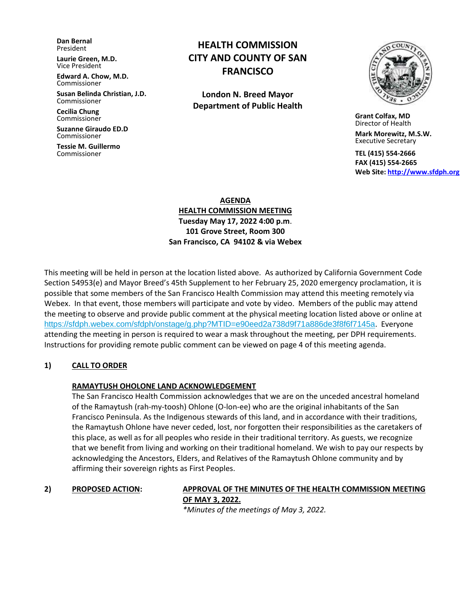**Dan Bernal** President

**Laurie Green, M.D.** Vice President

**Edward A. Chow, M.D.** Commissioner

**Susan Belinda Christian, J.D.** Commissioner

**Cecilia Chung**  Commissioner

**Suzanne Giraudo ED.D** Commissioner

**Tessie M. Guillermo** Commissioner

# **HEALTH COMMISSION CITY AND COUNTY OF SAN FRANCISCO**

**London N. Breed Mayor Department of Public Health**



 **Grant Colfax, MD**  Director of Health

 **Mark Morewitz, M.S.W.**  Executive Secretary

 **TEL (415) 554-2666 FAX (415) 554-2665 Web Site: [http://www.sfdph.org](http://www.sfdph.org/)**

**AGENDA HEALTH COMMISSION MEETING Tuesday May 17, 2022 4:00 p.m**. **101 Grove Street, Room 300 San Francisco, CA 94102 & via Webex**

This meeting will be held in person at the location listed above. As authorized by California Government Code Section 54953(e) and Mayor Breed's 45th Supplement to her February 25, 2020 emergency proclamation, it is possible that some members of the San Francisco Health Commission may attend this meeting remotely via Webex. In that event, those members will participate and vote by video. Members of the public may attend the meeting to observe and provide public comment at the physical meeting location listed above or online at <https://sfdph.webex.com/sfdph/onstage/g.php?MTID=e90eed2a738d9f71a886de3f8f6f7145a>. Everyone attending the meeting in person is required to wear a mask throughout the meeting, per DPH requirements. Instructions for providing remote public comment can be viewed on page 4 of this meeting agenda.

## **1) CALL TO ORDER**

## **RAMAYTUSH OHOLONE LAND ACKNOWLEDGEMENT**

The San Francisco Health Commission acknowledges that we are on the unceded ancestral homeland of the Ramaytush (rah-my-toosh) Ohlone (O-lon-ee) who are the original inhabitants of the San Francisco Peninsula. As the Indigenous stewards of this land, and in accordance with their traditions, the Ramaytush Ohlone have never ceded, lost, nor forgotten their responsibilities as the caretakers of this place, as well as for all peoples who reside in their traditional territory. As guests, we recognize that we benefit from living and working on their traditional homeland. We wish to pay our respects by acknowledging the Ancestors, Elders, and Relatives of the Ramaytush Ohlone community and by affirming their sovereign rights as First Peoples.

# **2) PROPOSED ACTION: APPROVAL OF THE MINUTES OF THE HEALTH COMMISSION MEETING OF MAY 3, 2022.**

*\*Minutes of the meetings of May 3, 2022.*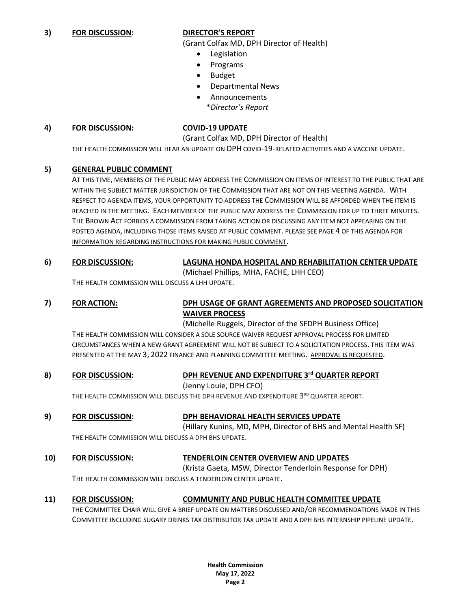# **3) FOR DISCUSSION: DIRECTOR'S REPORT**

(Grant Colfax MD, DPH Director of Health)

- Legislation
- Programs
- Budget
- Departmental News
- Announcements
	- \**Director's Report*

#### **4) FOR DISCUSSION: COVID-19 UPDATE**

(Grant Colfax MD, DPH Director of Health)

THE HEALTH COMMISSION WILL HEAR AN UPDATE ON DPH COVID-19-RELATED ACTIVITIES AND A VACCINE UPDATE.

### **5) GENERAL PUBLIC COMMENT**

AT THIS TIME, MEMBERS OF THE PUBLIC MAY ADDRESS THE COMMISSION ON ITEMS OF INTEREST TO THE PUBLIC THAT ARE WITHIN THE SUBJECT MATTER JURISDICTION OF THE COMMISSION THAT ARE NOT ON THIS MEETING AGENDA. WITH RESPECT TO AGENDA ITEMS, YOUR OPPORTUNITY TO ADDRESS THE COMMISSION WILL BE AFFORDED WHEN THE ITEM IS REACHED IN THE MEETING. EACH MEMBER OF THE PUBLIC MAY ADDRESS THE COMMISSION FOR UP TO THREE MINUTES. THE BROWN ACT FORBIDS A COMMISSION FROM TAKING ACTION OR DISCUSSING ANY ITEM NOT APPEARING ON THE POSTED AGENDA, INCLUDING THOSE ITEMS RAISED AT PUBLIC COMMENT. PLEASE SEE PAGE 4 OF THIS AGENDA FOR INFORMATION REGARDING INSTRUCTIONS FOR MAKING PUBLIC COMMENT.

# **6) FOR DISCUSSION: LAGUNA HONDA HOSPITAL AND REHABILITATION CENTER UPDATE**

(Michael Phillips, MHA, FACHE, LHH CEO)

THE HEALTH COMMISSION WILL DISCUSS A LHH UPDATE.

**7) FOR ACTION: DPH USAGE OF GRANT AGREEMENTS AND PROPOSED SOLICITATION WAIVER PROCESS**

(Michelle Ruggels, Director of the SFDPH Business Office) THE HEALTH COMMISSION WILL CONSIDER A SOLE SOURCE WAIVER REQUEST APPROVAL PROCESS FOR LIMITED CIRCUMSTANCES WHEN A NEW GRANT AGREEMENT WILL NOT BE SUBJECT TO A SOLICITATION PROCESS. THIS ITEM WAS PRESENTED AT THE MAY 3, 2022 FINANCE AND PLANNING COMMITTEE MEETING. APPROVAL IS REQUESTED.

# **8) FOR DISCUSSION: DPH REVENUE AND EXPENDITURE 3 rd QUARTER REPORT**

(Jenny Louie, DPH CFO)

THE HEALTH COMMISSION WILL DISCUSS THE DPH REVENUE AND EXPENDITURE  $3^{\text{\tiny RD}}$  QUARTER REPORT.

## **9) FOR DISCUSSION: DPH BEHAVIORAL HEALTH SERVICES UPDATE**

(Hillary Kunins, MD, MPH, Director of BHS and Mental Health SF) THE HEALTH COMMISSION WILL DISCUSS A DPH BHS UPDATE.

## **10) FOR DISCUSSION: TENDERLOIN CENTER OVERVIEW AND UPDATES**

(Krista Gaeta, MSW, Director Tenderloin Response for DPH) THE HEALTH COMMISSION WILL DISCUSS A TENDERLOIN CENTER UPDATE.

# **11) FOR DISCUSSION: COMMUNITY AND PUBLIC HEALTH COMMITTEE UPDATE**

THE COMMITTEE CHAIR WILL GIVE A BRIEF UPDATE ON MATTERS DISCUSSED AND/OR RECOMMENDATIONS MADE IN THIS COMMITTEE INCLUDING SUGARY DRINKS TAX DISTRIBUTOR TAX UPDATE AND A DPH BHS INTERNSHIP PIPELINE UPDATE.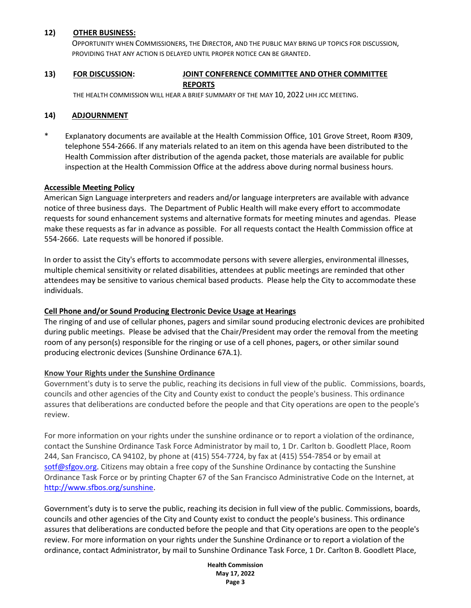# **12) OTHER BUSINESS:**

OPPORTUNITY WHEN COMMISSIONERS, THE DIRECTOR, AND THE PUBLIC MAY BRING UP TOPICS FOR DISCUSSION, PROVIDING THAT ANY ACTION IS DELAYED UNTIL PROPER NOTICE CAN BE GRANTED.

# **13) FOR DISCUSSION: JOINT CONFERENCE COMMITTEE AND OTHER COMMITTEE REPORTS**

THE HEALTH COMMISSION WILL HEAR A BRIEF SUMMARY OF THE MAY 10, 2022 LHH JCC MEETING.

# **14) ADJOURNMENT**

\* Explanatory documents are available at the Health Commission Office, 101 Grove Street, Room #309, telephone 554-2666. If any materials related to an item on this agenda have been distributed to the Health Commission after distribution of the agenda packet, those materials are available for public inspection at the Health Commission Office at the address above during normal business hours.

# **Accessible Meeting Policy**

American Sign Language interpreters and readers and/or language interpreters are available with advance notice of three business days. The Department of Public Health will make every effort to accommodate requests for sound enhancement systems and alternative formats for meeting minutes and agendas. Please make these requests as far in advance as possible. For all requests contact the Health Commission office at 554-2666. Late requests will be honored if possible.

In order to assist the City's efforts to accommodate persons with severe allergies, environmental illnesses, multiple chemical sensitivity or related disabilities, attendees at public meetings are reminded that other attendees may be sensitive to various chemical based products. Please help the City to accommodate these individuals.

## **Cell Phone and/or Sound Producing Electronic Device Usage at Hearings**

The ringing of and use of cellular phones, pagers and similar sound producing electronic devices are prohibited during public meetings. Please be advised that the Chair/President may order the removal from the meeting room of any person(s) responsible for the ringing or use of a cell phones, pagers, or other similar sound producing electronic devices (Sunshine Ordinance 67A.1).

## **Know Your Rights under the Sunshine Ordinance**

Government's duty is to serve the public, reaching its decisions in full view of the public. Commissions, boards, councils and other agencies of the City and County exist to conduct the people's business. This ordinance assures that deliberations are conducted before the people and that City operations are open to the people's review.

For more information on your rights under the sunshine ordinance or to report a violation of the ordinance, contact the Sunshine Ordinance Task Force Administrator by mail to, 1 Dr. Carlton b. Goodlett Place, Room 244, San Francisco, CA 94102, by phone at (415) 554-7724, by fax at (415) 554-7854 or by email at [sotf@sfgov.org.](mailto:sotf@sfgov.org) Citizens may obtain a free copy of the Sunshine Ordinance by contacting the Sunshine Ordinance Task Force or by printing Chapter 67 of the San Francisco Administrative Code on the Internet, at [http://www.sfbos.org/sunshine.](http://www.sfbos.org/index.aspx?page=4459)

Government's duty is to serve the public, reaching its decision in full view of the public. Commissions, boards, councils and other agencies of the City and County exist to conduct the people's business. This ordinance assures that deliberations are conducted before the people and that City operations are open to the people's review. For more information on your rights under the Sunshine Ordinance or to report a violation of the ordinance, contact Administrator, by mail to Sunshine Ordinance Task Force, 1 Dr. Carlton B. Goodlett Place,

> **Health Commission May 17, 2022 Page 3**